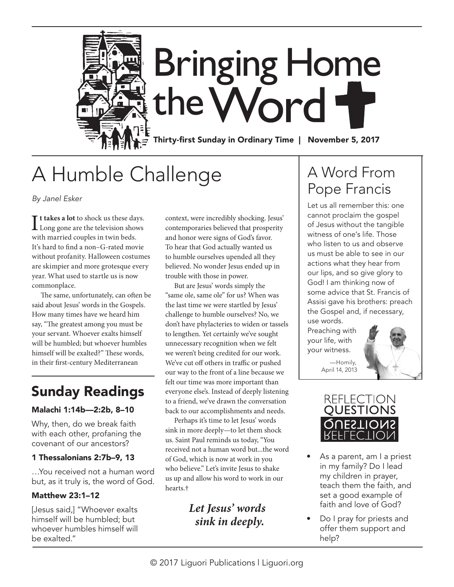

# A Humble Challenge

*By Janel Esker*

If takes a lot to shock us these day<br>Long gone are the television show<br>with married couples in twin beds. **t takes a lot** to shock us these days. Long gone are the television shows It's hard to find a non–G-rated movie without profanity. Halloween costumes are skimpier and more grotesque every year. What used to startle us is now commonplace.

The same, unfortunately, can often be said about Jesus' words in the Gospels. How many times have we heard him say, "The greatest among you must be your servant. Whoever exalts himself will be humbled; but whoever humbles himself will be exalted?" These words, in their first-century Mediterranean

## Sunday Readings

#### Malachi 1:14b—2:2b, 8–10

Why, then, do we break faith with each other, profaning the covenant of our ancestors?

#### 1 Thessalonians 2:7b–9, 13

…You received not a human word but, as it truly is, the word of God.

#### Matthew 23:1–12

[Jesus said,] "Whoever exalts himself will be humbled; but whoever humbles himself will be exalted."

context, were incredibly shocking. Jesus' contemporaries believed that prosperity and honor were signs of God's favor. To hear that God actually wanted us to humble ourselves upended all they believed. No wonder Jesus ended up in trouble with those in power.

But are Jesus' words simply the "same ole, same ole" for us? When was the last time we were startled by Jesus' challenge to humble ourselves? No, we don't have phylacteries to widen or tassels to lengthen. Yet certainly we've sought unnecessary recognition when we felt we weren't being credited for our work. We've cut off others in traffic or pushed our way to the front of a line because we felt our time was more important than everyone else's. Instead of deeply listening to a friend, we've drawn the conversation back to our accomplishments and needs.

Perhaps it's time to let Jesus' words sink in more deeply—to let them shock us. Saint Paul reminds us today, "You received not a human word but...the word of God, which is now at work in you who believe." Let's invite Jesus to shake us up and allow his word to work in our hearts.†

> *Let Jesus' words sink in deeply.*

# A Word From Pope Francis

Let us all remember this: one cannot proclaim the gospel of Jesus without the tangible witness of one's life. Those who listen to us and observe us must be able to see in our actions what they hear from our lips, and so give glory to God! I am thinking now of some advice that St. Francis of Assisi gave his brothers: preach the Gospel and, if necessary, use words.

Preaching with your life, with your witness.

> —Homily, April 14, 2013





- As a parent, am I a priest in my family? Do I lead my children in prayer, teach them the faith, and set a good example of faith and love of God?
- Do I pray for priests and offer them support and help?